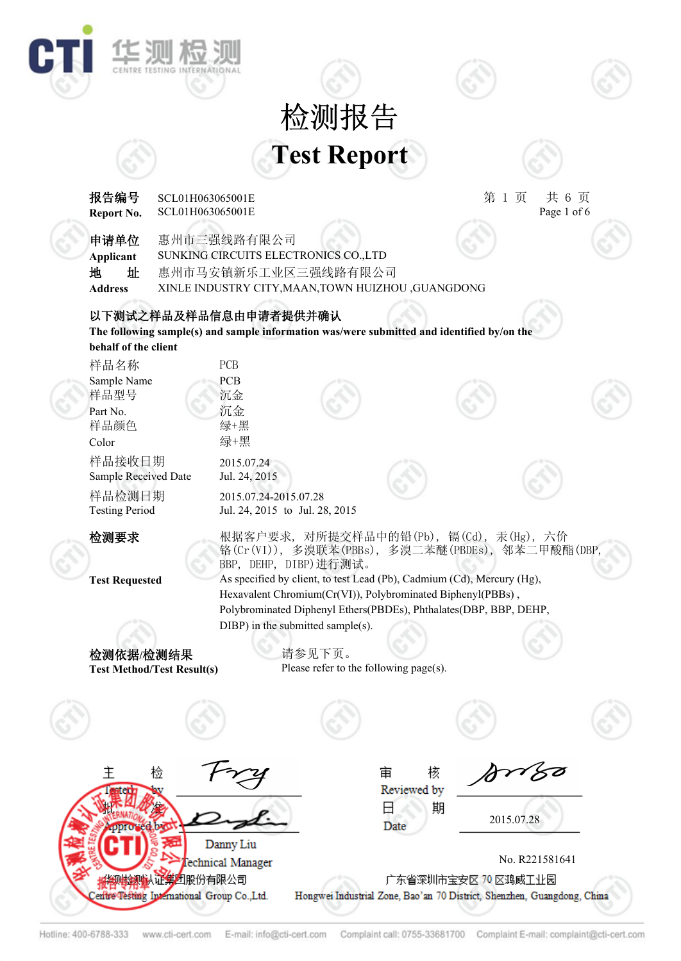## **Test Report** 检测报告



2015.07.28

No. R221581641

VSØ

样品检测日期 Testing Period 检测要求 根据客户要求, 对所提交样品中的铅(Pb), 镉(Cd), 汞(Hg), 六价 **Test Requested** As specified by client, to test Lead (Pb), Cadmium (Cd), Mercury (Hg), 检测依据**/**检测结果 **Test Method/Test Result(s)** 核 主 检 宙 Reviewed by 期 Ξ aha Date Danny Liu Fechnical Manager **检测认证集团股份有限公司** 广东省深圳市宝安区 70 区鸡威王业园 entre Testing International Group Co., Ltd. Hongwei Industrial Zone, Bao'an 70 District, Shenzhen, Guangdong, China Hotline: 400-6788-333 E-mail: info@cti-cert.com Complaint call: 0755-33681700 Complaint E-mail: complaint@cti-cert.com www.cti-cert.com

**Report No.**

华测检

**behalf of the client**

Sample Received Date

样品接收日期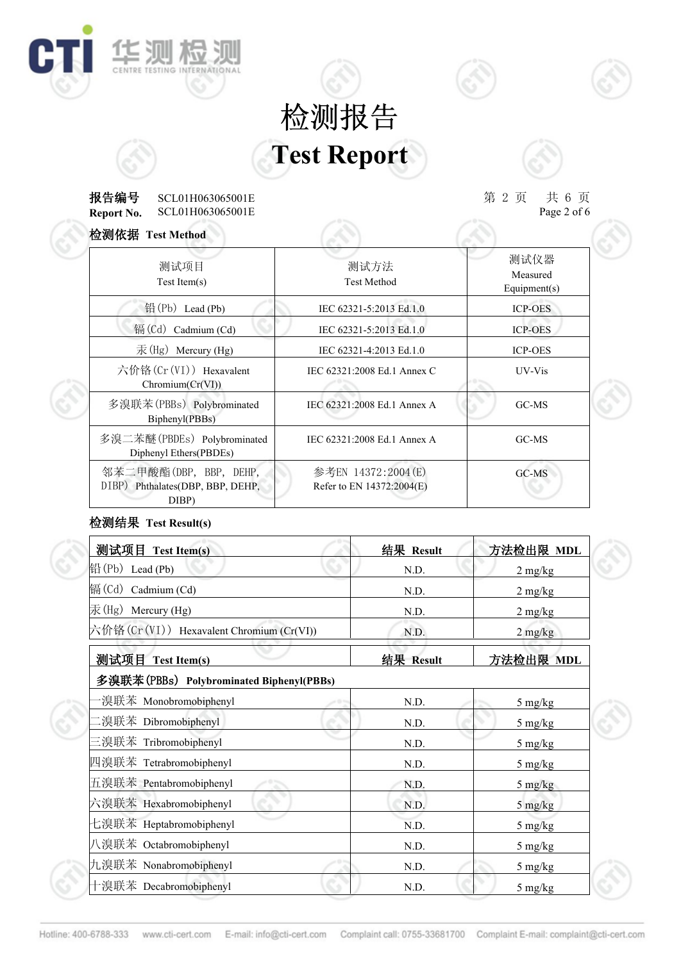# **Test Report** 检测报告

#### **Report No.** 报告编号 第 2 页 共 6 页 SCL01H063065001E SCL01H063065001E

**IE SUI AS SUI** 

C

 $\# 6 \nexists \nspace 2 of 6$ 

| 检测依据 Test Method                                                    |                                                 |                                  |
|---------------------------------------------------------------------|-------------------------------------------------|----------------------------------|
| 测试项目<br>$Test$ Item $(s)$                                           | 测试方法<br><b>Test Method</b>                      | 测试仪器<br>Measured<br>Equipment(s) |
| 铅 $(Pb)$ Lead $(Pb)$                                                | IEC 62321-5:2013 Ed.1.0                         | <b>ICP-OES</b>                   |
| 镉 $(Cd)$ Cadmium $(Cd)$                                             | IEC 62321-5:2013 Ed.1.0                         | <b>ICP-OES</b>                   |
| $\bar{\mathcal{F}}$ (Hg) Mercury (Hg)                               | IEC 62321-4:2013 Ed.1.0                         | <b>ICP-OES</b>                   |
| 六价铬 $(Cr(VI))$ Hexavalent<br>Chromium(Cr(VI))                       | IEC 62321:2008 Ed.1 Annex C                     | UV-Vis                           |
| 多溴联苯(PBBs) Polybrominated<br>Biphenyl(PBBs)                         | IEC 62321:2008 Ed.1 Annex A                     | GC-MS                            |
| 多溴二苯醚(PBDEs) Polybrominated<br>Diphenyl Ethers(PBDEs)               | IEC 62321:2008 Ed.1 Annex A                     | GC-MS                            |
| 邻苯二甲酸酯(DBP, BBP, DEHP,<br>DIBP) Phthalates(DBP, BBP, DEHP,<br>DIBP) | 参考EN 14372:2004(E)<br>Refer to EN 14372:2004(E) | GC-MS                            |

### 检测结果 **Test Result(s)**

| 测试项目 Test Item(s)                                       | 结果 Result | 方法检出限 MDL                       |
|---------------------------------------------------------|-----------|---------------------------------|
| $\left \mathbb{H}\right((\mathrm{Pb})\right)$ Lead (Pb) | N.D.      | $2 \text{ mg/kg}$               |
| 镉(Cd) Cadmium (Cd)                                      | N.D.      | $2 \frac{\text{mg}}{\text{kg}}$ |
| 汞(Hg) Mercury (Hg)                                      | N.D.      | $2$ mg/kg                       |
| 六价铬(Cr(VI)) Hexavalent Chromium (Cr(VI))                | N.D.      | $2$ mg/kg                       |
| 测试项目 Test Item(s)                                       | 结果 Result | 方法检出限 MDL                       |
| 多溴联苯(PBBs) Polybrominated Biphenyl(PBBs)                |           |                                 |
| ·溴联苯 Monobromobiphenyl                                  | N.D.      | 5 mg/kg                         |
| .溴联苯 Dibromobiphenyl                                    | N.D.      | 5 mg/kg                         |
| 三溴联苯 Tribromobiphenyl                                   | N.D.      | 5 mg/kg                         |
| 四溴联苯 Tetrabromobiphenyl                                 | N.D.      | $5 \text{ mg/kg}$               |
| 五溴联苯 Pentabromobiphenyl                                 | N.D.      | $5 \text{ mg/kg}$               |
| 六溴联苯 Hexabromobiphenyl                                  | N.D.      | 5 mg/kg                         |
| 七溴联苯 Heptabromobiphenyl                                 | N.D.      | 5 mg/kg                         |
| 八溴联苯 Octabromobiphenyl                                  | N.D.      | 5 mg/kg                         |
| 九溴联苯 Nonabromobiphenyl                                  | N.D.      | 5 mg/kg                         |
| 十溴联苯 Decabromobiphenyl                                  | N.D.      | 5 mg/kg                         |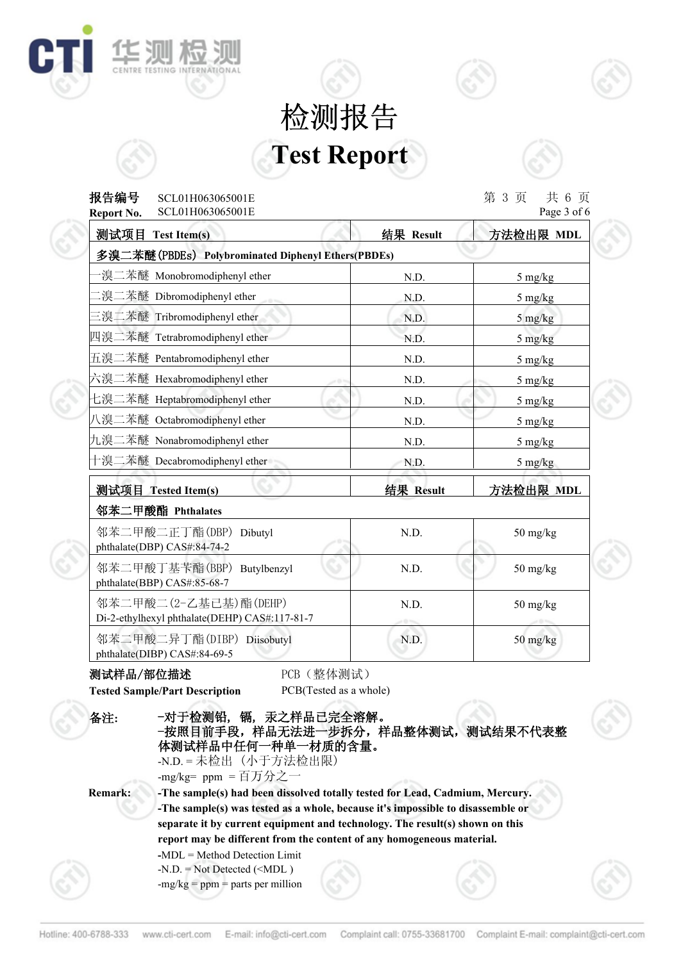# **Test Report** 检测报告



| 报告编号<br>SCL01H063065001E<br>SCL01H063065001E<br>Report No.             |                 | 第 3 页<br>共 6 页<br>Page 3 of 6   |
|------------------------------------------------------------------------|-----------------|---------------------------------|
| 测试项目 Test Item(s)                                                      | 结果 Result       | 方法检出限 MDL                       |
| 多溴二苯醚(PBDEs) Polybrominated Diphenyl Ethers(PBDEs)                     |                 |                                 |
| ·溴二苯醚 Monobromodiphenyl ether                                          | N.D.            | 5 mg/kg                         |
| 二溴二苯醚 Dibromodiphenyl ether                                            | N.D.            | 5 mg/kg                         |
| 三溴二苯醚 Tribromodiphenyl ether                                           | N.D.            | $5 \frac{\text{mg}}{\text{kg}}$ |
| 四溴二苯醚 Tetrabromodiphenyl ether                                         | N.D.            | 5 mg/kg                         |
| 五溴二苯醚 Pentabromodiphenyl ether                                         | N.D.            | 5 mg/kg                         |
| 六溴二苯醚 Hexabromodiphenyl ether                                          | N.D.            | 5 mg/kg                         |
| 七溴二苯醚 Heptabromodiphenyl ether                                         | N.D.            | 5 mg/kg                         |
| 八溴二苯醚 Octabromodiphenyl ether                                          | N.D.            | 5 mg/kg                         |
| 九溴二苯醚 Nonabromodiphenyl ether                                          | N.D.            | 5 mg/kg                         |
| 十溴二苯醚 Decabromodiphenyl ether                                          | N.D.            | 5 mg/kg                         |
| 测试项目 Tested Item(s)                                                    | 结果 Result       | 方法检出限 MDL                       |
| 邻苯二甲酸酯 Phthalates                                                      |                 |                                 |
| 邻苯二甲酸二正丁酯(DBP) Dibutyl<br>phthalate(DBP) CAS#:84-74-2                  | N.D.            | $50$ mg/kg                      |
| 邻苯二甲酸丁基苄酯(BBP) Butylbenzyl<br>phthalate(BBP) CAS#:85-68-7              | N.D.            | 50 mg/kg                        |
| 邻苯二甲酸二(2-乙基已基)酯(DEHP)<br>Di-2-ethylhexyl phthalate(DEHP) CAS#:117-81-7 | N.D.<br>$-0.55$ | $50$ mg/kg                      |
| 邻苯二甲酸二异丁酯(DIBP) Diisobutyl<br>phthalate(DIBP) CAS#:84-69-5             | N.D.            | $50$ mg/kg                      |

#### 测试样品/部位描述 PCB(整体测试)

华测检》

CENTRE TESTING INTERNATIONAL

C

**Tested Sample/Part Description** PCB(Tested as a whole)

| 备注:            | -对于检测铅,镉,汞之样品已完全溶解。<br>-按照目前手段,样品无法进一步拆分,样品整体测试,测试结果不代表整<br>体测试样品中任何一种单一材质的含量。<br>-N.D. = 未检出 (小于方法检出限)<br>-mg/kg= ppm = 百万分之一                                                                                                                                                                                           |  |  |  |  |
|----------------|--------------------------------------------------------------------------------------------------------------------------------------------------------------------------------------------------------------------------------------------------------------------------------------------------------------------------|--|--|--|--|
| <b>Remark:</b> | -The sample(s) had been dissolved totally tested for Lead, Cadmium, Mercury.<br>-The sample(s) was tested as a whole, because it's impossible to disassemble or<br>separate it by current equipment and technology. The result(s) shown on this<br>report may be different from the content of any homogeneous material. |  |  |  |  |
|                | $-MDL = Method$ Detection Limit<br>$-N.D. = Not detected (-mg/kg = ppm = parts per million$                                                                                                                                                                                                                              |  |  |  |  |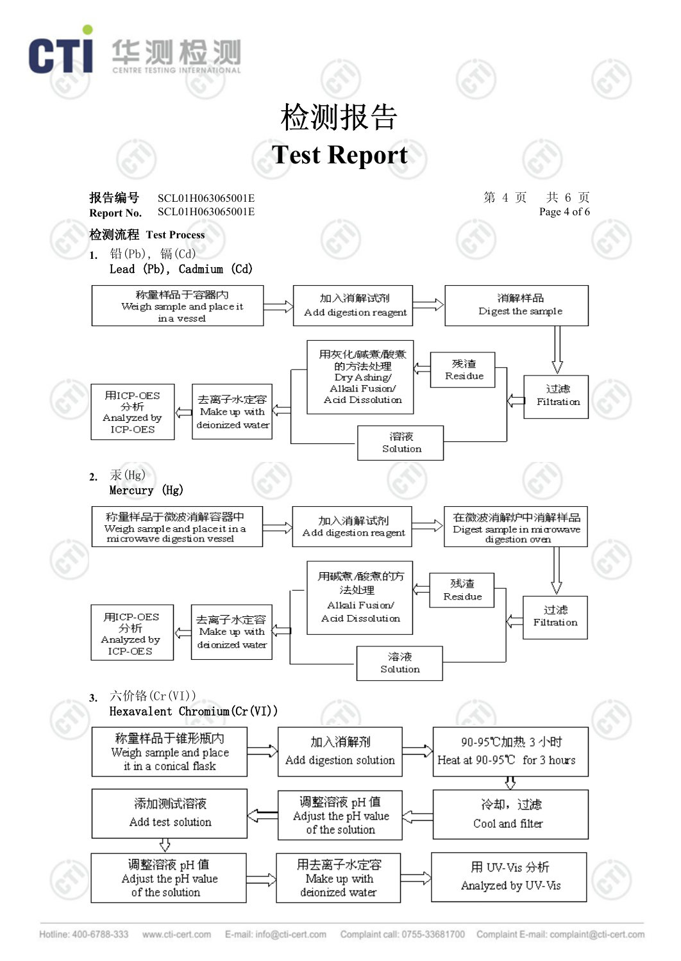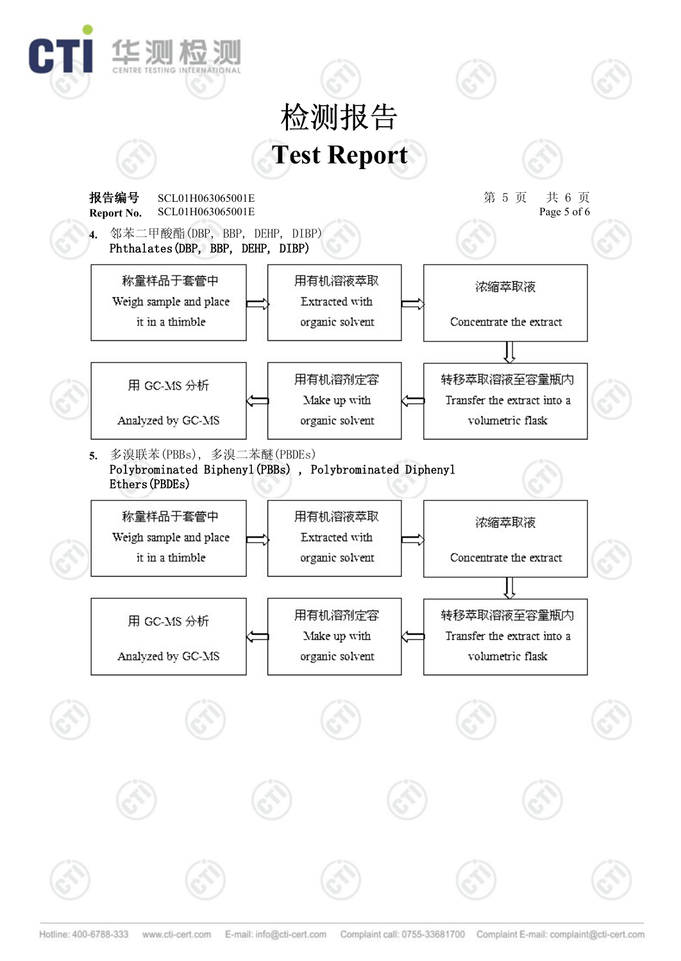